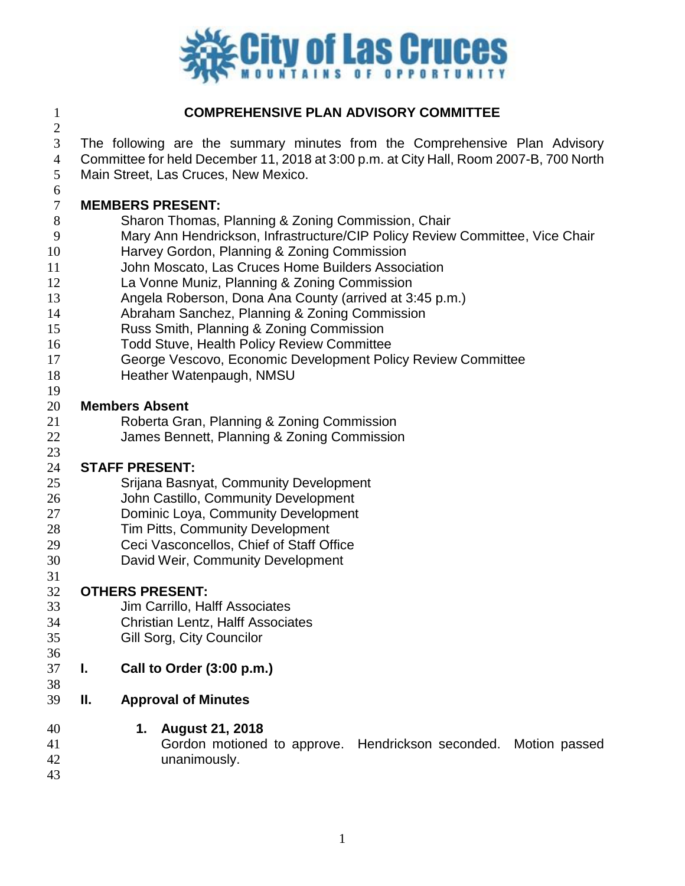

### **COMPREHENSIVE PLAN ADVISORY COMMITTEE**

The following are the summary minutes from the Comprehensive Plan Advisory

- Committee for held December 11, 2018 at 3:00 p.m. at City Hall, Room 2007-B, 700 North
- Main Street, Las Cruces, New Mexico.

# **MEMBERS PRESENT:**

- Sharon Thomas, Planning & Zoning Commission, Chair
- Mary Ann Hendrickson, Infrastructure/CIP Policy Review Committee, Vice Chair
- Harvey Gordon, Planning & Zoning Commission
- John Moscato, Las Cruces Home Builders Association
- La Vonne Muniz, Planning & Zoning Commission
- Angela Roberson, Dona Ana County (arrived at 3:45 p.m.)
- Abraham Sanchez, Planning & Zoning Commission
- Russ Smith, Planning & Zoning Commission
- Todd Stuve, Health Policy Review Committee
- George Vescovo, Economic Development Policy Review Committee
- Heather Watenpaugh, NMSU
- 

#### **Members Absent**

- Roberta Gran, Planning & Zoning Commission
- James Bennett, Planning & Zoning Commission

### **STAFF PRESENT:**

- Srijana Basnyat, Community Development
- John Castillo, Community Development
- Dominic Loya, Community Development
- Tim Pitts, Community Development
- Ceci Vasconcellos, Chief of Staff Office
- David Weir, Community Development
- 

### **OTHERS PRESENT:**

- Jim Carrillo, Halff Associates
- Christian Lentz, Halff Associates
- Gill Sorg, City Councilor
- **I. Call to Order (3:00 p.m.)**
- **II. Approval of Minutes**
- **1. August 21, 2018**
- Gordon motioned to approve. Hendrickson seconded. Motion passed unanimously.
	-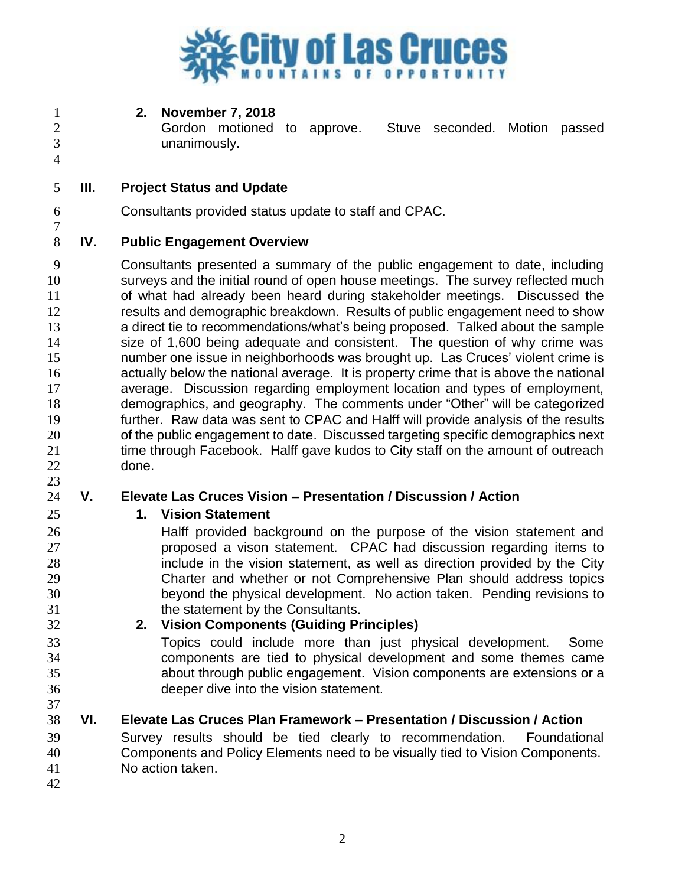

**2. November 7, 2018**

 Gordon motioned to approve. Stuve seconded. Motion passed unanimously.

- **III. Project Status and Update**
- Consultants provided status update to staff and CPAC.

## **IV. Public Engagement Overview**

 Consultants presented a summary of the public engagement to date, including surveys and the initial round of open house meetings. The survey reflected much of what had already been heard during stakeholder meetings. Discussed the results and demographic breakdown. Results of public engagement need to show a direct tie to recommendations/what's being proposed. Talked about the sample size of 1,600 being adequate and consistent. The question of why crime was number one issue in neighborhoods was brought up. Las Cruces' violent crime is actually below the national average. It is property crime that is above the national average. Discussion regarding employment location and types of employment, demographics, and geography. The comments under "Other" will be categorized further. Raw data was sent to CPAC and Halff will provide analysis of the results of the public engagement to date. Discussed targeting specific demographics next 21 time through Facebook. Halff gave kudos to City staff on the amount of outreach done.

# **V. Elevate Las Cruces Vision – Presentation / Discussion / Action**

- **1. Vision Statement**
- Halff provided background on the purpose of the vision statement and proposed a vison statement. CPAC had discussion regarding items to include in the vision statement, as well as direction provided by the City Charter and whether or not Comprehensive Plan should address topics beyond the physical development. No action taken. Pending revisions to the statement by the Consultants.
- **2. Vision Components (Guiding Principles)**
- Topics could include more than just physical development. Some components are tied to physical development and some themes came about through public engagement. Vision components are extensions or a deeper dive into the vision statement.
- **VI. Elevate Las Cruces Plan Framework – Presentation / Discussion / Action**
- Survey results should be tied clearly to recommendation. Foundational Components and Policy Elements need to be visually tied to Vision Components. No action taken.
-